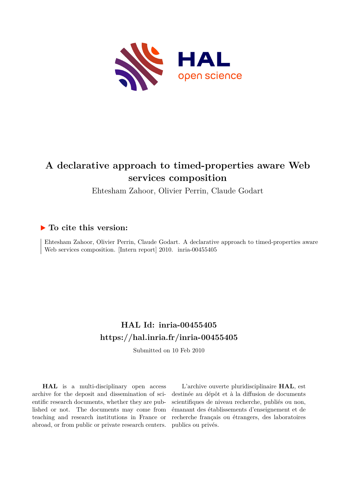

Ehtesham Zahoor, Olivier Perrin, Claude Godart

# **To cite this version:**

Ehtesham Zahoor, Olivier Perrin, Claude Godart. A declarative approach to timed-properties aware Web services composition. [Intern report] 2010. inria-00455405

# **HAL Id: inria-00455405 <https://hal.inria.fr/inria-00455405>**

Submitted on 10 Feb 2010

**HAL** is a multi-disciplinary open access archive for the deposit and dissemination of scientific research documents, whether they are published or not. The documents may come from teaching and research institutions in France or abroad, or from public or private research centers.

L'archive ouverte pluridisciplinaire **HAL**, est destinée au dépôt et à la diffusion de documents scientifiques de niveau recherche, publiés ou non, émanant des établissements d'enseignement et de recherche français ou étrangers, des laboratoires publics ou privés.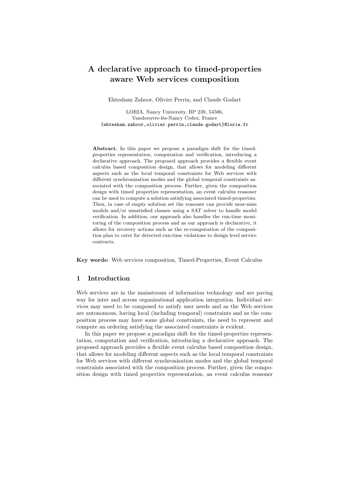Ehtesham Zahoor, Olivier Perrin, and Claude Godart

LORIA, Nancy University, BP 239, 54506, Vandoeuvre-lès-Nancy Cedex, France {ehtesham.zahoor,olivier.perrin,claude.godart}@loria.fr

Abstract. In this paper we propose a paradigm shift for the timedproperties representation, computation and verification, introducing a declarative approach. The proposed approach provides a flexible event calculus based composition design, that allows for modeling different aspects such as the local temporal constraints for Web services with different synchronization modes and the global temporal constraints associated with the composition process. Further, given the composition design with timed properties representation, an event calculus reasoner can be used to compute a solution satisfying associated timed-properties. Then, in case of empty solution set the reasoner can provide near-miss models and/or unsatisfied clauses using a SAT solver to handle model verification. In addition, our approach also handles the run-time monitoring of the composition process and as our approach is declarative, it allows for recovery actions such as the re-computation of the composition plan to cater for detected run-time violations to design level service contracts.

Key words: Web services composition, Timed-Properties, Event Calculus

# 1 Introduction

Web services are in the mainstream of information technology and are paving way for inter and across organizational application integration. Individual services may need to be composed to satisfy user needs and as the Web services are autonomous, having local (including temporal) constraints and as the composition process may have some global constraints, the need to represent and compute an ordering satisfying the associated constraints is evident.

In this paper we propose a paradigm shift for the timed-properties representation, computation and verification, introducing a declarative approach. The proposed approach provides a flexible event calculus based composition design, that allows for modeling different aspects such as the local temporal constraints for Web services with different synchronization modes and the global temporal constraints associated with the composition process. Further, given the composition design with timed properties representation, an event calculus reasoner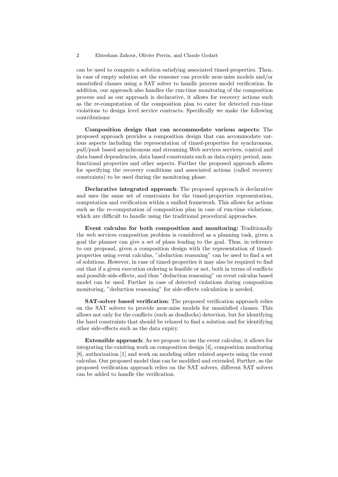can be used to compute a solution satisfying associated timed-properties. Then, in case of empty solution set the reasoner can provide near-miss models and/or unsatisfied clauses using a SAT solver to handle process model verification. In addition, our approach also handles the run-time monitoring of the composition process and as our approach is declarative, it allows for recovery actions such as the re-computation of the composition plan to cater for detected run-time violations to design level service contracts. Specifically we make the following contributions:

Composition design that can accommodate various aspects: The proposed approach provides a composition design that can accommodate various aspects including the representation of timed-properties for synchronous, pull/push based asynchronous and streaming Web services services, control and data based dependencies, data based constraints such as data expiry period, nonfunctional properties and other aspects. Further the proposed approach allows for specifying the recovery conditions and associated actions (called recovery constraints) to be used during the monitoring phase.

Declarative integrated approach: The proposed approach is declarative and uses the same set of constraints for the timed-properties representation, computation and verification within a unified framework. This allows for actions such as the re-computation of composition plan in case of run-time violations, which are difficult to handle using the traditional procedural approaches.

Event calculus for both composition and monitoring: Traditionally the web services composition problem is considered as a planning task, given a goal the planner can give a set of plans leading to the goal. Thus, in reference to our proposal, given a composition design with the representation of timedproperties using event calculus, "abduction reasoning" can be used to find a set of solutions. However, in case of timed-properties it may also be required to find out that if a given execution ordering is feasible or not, both in terms of conflicts and possible side-effects, and thus "deduction reasoning" on event calculus based model can be used. Further in case of detected violations during composition monitoring, "deduction reasoning" for side-effects calculation is needed.

SAT-solver based verification: The proposed verification approach relies on the SAT solvers to provide near-miss models for unsatisfied clauses. This allows not only for the conflicts (such as deadlocks) detection, but for identifying the hard constraints that should be relaxed to find a solution and for identifying other side-effects such as the data expiry.

Extensible approach: As we propose to use the event calculus, it allows for integrating the exisiting work on composition design [4], composition monitoring [8], authorization [1] and work on modeling other related aspects using the event calculus. Our proposed model thus can be modified and extended. Further, as the proposed verification approach relies on the SAT solvers, different SAT solvers can be added to handle the verification.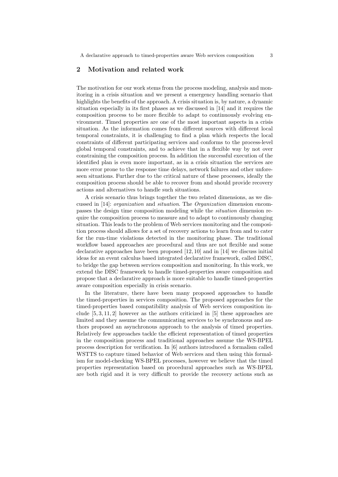# 2 Motivation and related work

The motivation for our work stems from the process modeling, analysis and monitoring in a crisis situation and we present a emergency handling scenario that highlights the benefits of the approach. A crisis situation is, by nature, a dynamic situation especially in its first phases as we discussed in [14] and it requires the composition process to be more flexible to adapt to continuously evolving environment. Timed properties are one of the most important aspects in a crisis situation. As the information comes from different sources with different local temporal constraints, it is challenging to find a plan which respects the local constraints of different participating services and conforms to the process-level global temporal constraints, and to achieve that in a flexible way by not over constraining the composition process. In addition the successful execution of the identified plan is even more important, as in a crisis situation the services are more error prone to the response time delays, network failures and other unforeseen situations. Further due to the critical nature of these processes, ideally the composition process should be able to recover from and should provide recovery actions and alternatives to handle such situations.

A crisis scenario thus brings together the two related dimensions, as we discussed in [14]: organization and situation. The Organization dimension encompasses the design time composition modeling while the situation dimension require the composition process to measure and to adapt to continuously changing situation. This leads to the problem of Web services monitoring and the composition process should allows for a set of recovery actions to learn from and to cater for the run-time violations detected in the monitoring phase. The traditional workflow based approaches are procedural and thus are not flexible and some declarative approaches have been proposed [12, 10] and in [14] we discuss initial ideas for an event calculus based integrated declarative framework, called DISC, to bridge the gap between services composition and monitoring. In this work, we extend the DISC framework to handle timed-properties aware composition and propose that a declarative approach is more suitable to handle timed-properties aware composition especially in crisis scenario.

In the literature, there have been many proposed approaches to handle the timed-properties in services composition. The proposed approaches for the timed-properties based compatibility analysis of Web services composition include [5, 3, 11, 2] however as the authors criticized in [5] these approaches are limited and they assume the communicating services to be synchronous and authors proposed an asynchronous approach to the analysis of timed properties. Relatively few approaches tackle the efficient representation of timed properties in the composition process and traditional approaches assume the WS-BPEL process description for verification. In [6] authors introduced a formalism called WSTTS to capture timed behavior of Web services and then using this formalism for model-checking WS-BPEL processes, however we believe that the timed properties representation based on procedural approaches such as WS-BPEL are both rigid and it is very difficult to provide the recovery actions such as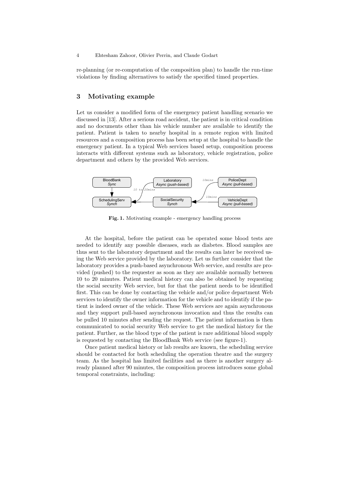re-planning (or re-computation of the composition plan) to handle the run-time violations by finding alternatives to satisfy the specified timed properties.

# 3 Motivating example

Let us consider a modified form of the emergency patient handling scenario we discussed in [13]. After a serious road accident, the patient is in critical condition and no documents other than his vehicle number are available to identify the patient. Patient is taken to nearby hospital in a remote region with limited resources and a composition process has been setup at the hospital to handle the emergency patient. In a typical Web services based setup, composition process interacts with different systems such as laboratory, vehicle registration, police department and others by the provided Web services.



Fig. 1. Motivating example - emergency handling process

At the hospital, before the patient can be operated some blood tests are needed to identify any possible diseases, such as diabetes. Blood samples are thus sent to the laboratory department and the results can later be received using the Web service provided by the laboratory. Let us further consider that the laboratory provides a push-based asynchronous Web service, and results are provided (pushed) to the requester as soon as they are available normally between 10 to 20 minutes. Patient medical history can also be obtained by requesting the social security Web service, but for that the patient needs to be identified first. This can be done by contacting the vehicle and/or police department Web services to identify the owner information for the vehicle and to identify if the patient is indeed owner of the vehicle. These Web services are again asynchronous and they support pull-based asynchronous invocation and thus the results can be pulled 10 minutes after sending the request. The patient information is then communicated to social security Web service to get the medical history for the patient. Further, as the blood type of the patient is rare additional blood supply is requested by contacting the BloodBank Web service (see figure-1).

Once patient medical history or lab results are known, the scheduling service should be contacted for both scheduling the operation theatre and the surgery team. As the hospital has limited facilities and as there is another surgery already planned after 90 minutes, the composition process introduces some global temporal constraints, including: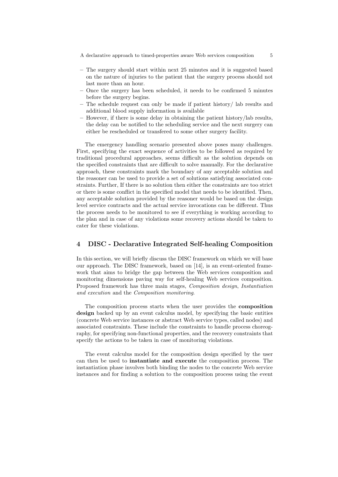- The surgery should start within next 25 minutes and it is suggested based on the nature of injuries to the patient that the surgery process should not last more than an hour.
- Once the surgery has been scheduled, it needs to be confirmed 5 minutes before the surgery begins.
- The schedule request can only be made if patient history/ lab results and additional blood supply information is available
- However, if there is some delay in obtaining the patient history/lab results, the delay can be notified to the scheduling service and the next surgery can either be rescheduled or transfered to some other surgery facility.

The emergency handling scenario presented above poses many challenges. First, specifying the exact sequence of activities to be followed as required by traditional procedural approaches, seems difficult as the solution depends on the specified constraints that are difficult to solve manually. For the declarative approach, these constraints mark the boundary of any acceptable solution and the reasoner can be used to provide a set of solutions satisfying associated constraints. Further, If there is no solution then either the constraints are too strict or there is some conflict in the specified model that needs to be identified. Then, any acceptable solution provided by the reasoner would be based on the design level service contracts and the actual service invocations can be different. Thus the process needs to be monitored to see if everything is working according to the plan and in case of any violations some recovery actions should be taken to cater for these violations.

# 4 DISC - Declarative Integrated Self-healing Composition

In this section, we will briefly discuss the DISC framework on which we will base our approach. The DISC framework, based on [14], is an event-oriented framework that aims to bridge the gap between the Web services composition and monitoring dimensions paving way for self-healing Web services composition. Proposed framework has three main stages, Composition design, Instantiation and execution and the Composition monitoring.

The composition process starts when the user provides the composition design backed up by an event calculus model, by specifying the basic entities (concrete Web service instances or abstract Web service types, called nodes) and associated constraints. These include the constraints to handle process choreography, for specifying non-functional properties, and the recovery constraints that specify the actions to be taken in case of monitoring violations.

The event calculus model for the composition design specified by the user can then be used to instantiate and execute the composition process. The instantiation phase involves both binding the nodes to the concrete Web service instances and for finding a solution to the composition process using the event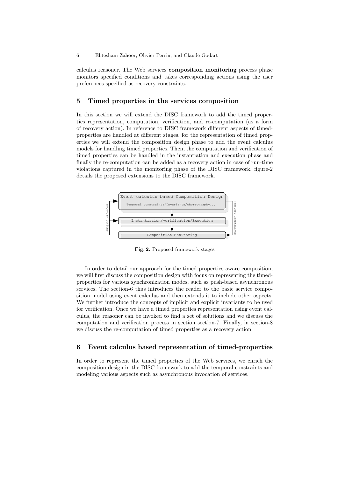calculus reasoner. The Web services composition monitoring process phase monitors specified conditions and takes corresponding actions using the user preferences specified as recovery constraints.

#### 5 Timed properties in the services composition

In this section we will extend the DISC framework to add the timed properties representation, computation, verification, and re-computation (as a form of recovery action). In reference to DISC framework different aspects of timedproperties are handled at different stages, for the representation of timed properties we will extend the composition design phase to add the event calculus models for handling timed properties. Then, the computation and verification of timed properties can be handled in the instantiation and execution phase and finally the re-computation can be added as a recovery action in case of run-time violations captured in the monitoring phase of the DISC framework, figure-2 details the proposed extensions to the DISC framework.



Fig. 2. Proposed framework stages

In order to detail our approach for the timed-properties aware composition, we will first discuss the composition design with focus on representing the timedproperties for various synchronization modes, such as push-based asynchronous services. The section-6 thus introduces the reader to the basic service composition model using event calculus and then extends it to include other aspects. We further introduce the concepts of implicit and explicit invariants to be used for verification. Once we have a timed properties representation using event calculus, the reasoner can be invoked to find a set of solutions and we discuss the computation and verification process in section section-7. Finally, in section-8 we discuss the re-computation of timed properties as a recovery action.

# 6 Event calculus based representation of timed-properties

In order to represent the timed properties of the Web services, we enrich the composition design in the DISC framework to add the temporal constraints and modeling various aspects such as asynchronous invocation of services.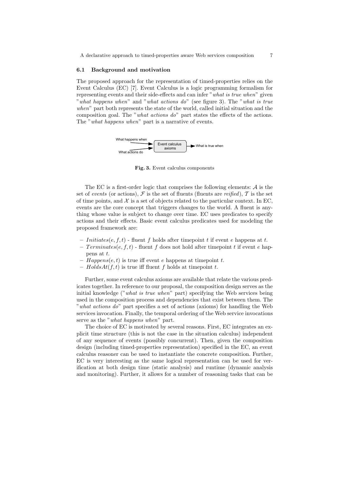#### 6.1 Background and motivation

The proposed approach for the representation of timed-properties relies on the Event Calculus (EC) [7]. Event Calculus is a logic programming formalism for representing events and their side-effects and can infer "what is true when" given "what happens when" and "what actions do" (see figure 3). The "what is true when" part both represents the state of the world, called initial situation and the composition goal. The "what actions do" part states the effects of the actions. The "what happens when" part is a narrative of events.



Fig. 3. Event calculus components

The EC is a first-order logic that comprises the following elements:  $A$  is the set of events (or actions),  $\mathcal F$  is the set of fluents (fluents are reified),  $\mathcal T$  is the set of time points, and  $X$  is a set of objects related to the particular context. In EC, events are the core concept that triggers changes to the world. A fluent is anything whose value is subject to change over time. EC uses predicates to specify actions and their effects. Basic event calculus predicates used for modeling the proposed framework are:

- Initiates(e, f, t) fluent f holds after time point t if event e happens at t.
- $Terminates(e, f, t)$  fluent f does not hold after timepoint t if event e happens at t.
- $Happens(e, t)$  is true iff event e happens at timepoint t.
- $HoldsAt(f, t)$  is true iff fluent f holds at timepoint t.

Further, some event calculus axioms are available that relate the various predicates together. In reference to our proposal, the composition design serves as the initial knowledge ("what is true when" part) specifying the Web services being used in the composition process and dependencies that exist between them. The "what actions do" part specifies a set of actions (axioms) for handling the Web services invocation. Finally, the temporal ordering of the Web service invocations serve as the "*what happens when*" part.

The choice of EC is motivated by several reasons. First, EC integrates an explicit time structure (this is not the case in the situation calculus) independent of any sequence of events (possibly concurrent). Then, given the composition design (including timed-properties representation) specified in the EC, an event calculus reasoner can be used to instantiate the concrete composition. Further, EC is very interesting as the same logical representation can be used for verification at both design time (static analysis) and runtime (dynamic analysis and monitoring). Further, it allows for a number of reasoning tasks that can be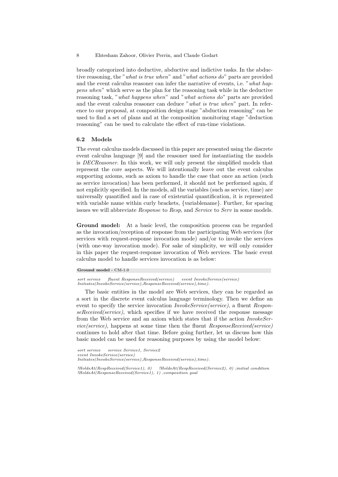broadly categorized into deductive, abductive and indictive tasks. In the abductive reasoning, the "what is true when" and "what actions do" parts are provided and the event calculus reasoner can infer the narrative of events, i.e. "what happens when" which serve as the plan for the reasoning task while in the deductive reasoning task, "what happens when" and "what actions do" parts are provided and the event calculus reasoner can deduce "what is true when" part. In reference to our proposal, at composition design stage "abduction reasoning" can be used to find a set of plans and at the composition monitoring stage "deduction reasoning" can be used to calculate the effect of run-time violations.

## 6.2 Models

The event calculus models discussed in this paper are presented using the discrete event calculus language [9] and the reasoner used for instantiating the models is DECReasoner. In this work, we will only present the simplified models that represent the core aspects. We will intentionally leave out the event calculus supporting axioms, such as axiom to handle the case that once an action (such as service invocation) has been performed, it should not be performed again, if not explicitly specified. In the models, all the variables (such as service, time) are universally quantified and in case of existential quantification, it is represented with variable name within curly brackets, {variablename}. Further, for spacing issues we will abbreviate *Response* to *Resp*, and *Service* to *Serv* in some models.

Ground model: At a basic level, the composition process can be regarded as the invocation/reception of response from the participating Web services (for services with request-response invocation mode) and/or to invoke the services (with one-way invocation mode). For sake of simplicity, we will only consider in this paper the request-response invocation of Web services. The basic event calculus model to handle services invocation is as below:

#### Ground model - CM-1.0

*sort service fluent ResponseReceived(service) event InvokeService(service) Initiates(InvokeService(service),ResponseReceived(service),time).*

The basic entities in the model are Web services, they can be regarded as a sort in the discrete event calculus language terminology. Then we define an event to specify the service invocation *InvokeService*(service), a fluent ResponseReceived(service), which specifies if we have received the response message from the Web service and an axiom which states that if the action InvokeService(service), happens at some time then the fluent ResponseReceived(service) continues to hold after that time. Before going further, let us discuss how this basic model can be used for reasoning purposes by using the model below:

*sort service service Service1, Service2 event InvokeService(service) Initiates(InvokeService(service),ResponseReceived(service),time).*

*!HoldsAt(RespReceived(Service1), 0) !HoldsAt(RespReceived(Service2), 0) ;initial condition !HoldsAt(ResponseReceived(Service1), 1) ;composition goal*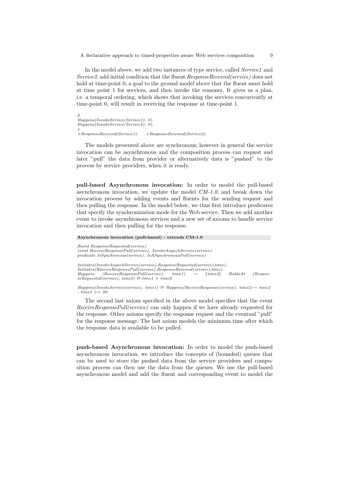In the model above, we add two instances of type service, called Service1 and Service2, add initial condition that the fluent ResponseReceived(service) does not hold at time-point 0, a goal to the ground model above that the fluent must hold at time point 1 for services, and then invoke the reasoner. It gives us a plan, i.e. a temporal ordering, which shows that invoking the services concurrently at time-point 0, will result in receiving the response at time-point 1.

*0 Happens(InvokeService(Service1), 0). Happens(InvokeService(Service2), 0). 1 +ResponseReceived(Service1). +ResponseReceived(Service2).*

The models presented above are synchronous; however in general the service invocation can be asynchronous and the composition process can request and later "pull" the data from provider or alternatively data is "pushed" to the process by service providers, when it is ready.

pull-based Asynchronous invocation: In order to model the pull-based asynchronous invocation, we update the model  $CM-1.0$ , and break down the invocation process by adding events and fluents for the sending request and then pulling the response. In the model below, we thus first introduce predicates that specify the synchronization mode for the Web service. Then we add another event to invoke asynchronous services and a new set of axioms to handle service invocation and then pulling for the response.

```
Asynchronous invocation (pull-based) - extends CM-1.0
fluent ResponseRequested(service)
event ReceiveResponsePull(service), InvokeAsynchService(service)
predicate IsSynchronous(service), IsASynchronousPull(service)
Initiates(InvokeAsynchService(service),ResponseRequested(service),time).
Initiates(ReceiveResponsePull(service),ResponseReceived(service),time)<br>Happens (ReceiveResponsePull(service), time1) → {time2}
Happens (ReceiveResponsePull(service), time1) → {time2} HoldsAt (Respon-
seRequested(service), time2) & time1 > time2.
```
*Happens(InvokeService(service), time1) & Happens(ReceiveResponse(service), time2)*→ *time2 - time1* >= *20.*

The second last axiom specified in the above model specifies that the event ReceiveResponsePull(service) can only happen if we have already requested for the response. Other axioms specify the response request and the eventual "pull" for the response message. The last axiom models the minimum time after which the response data is available to be pulled.

push-based Asynchronous invocation: In order to model the push-based asynchronous invocation, we introduce the concepts of (bounded) queues that can be used to store the pushed data from the service providers and composition process can then use the data from the queues. We use the pull-based asynchronous model and add the fluent and corresponding event to model the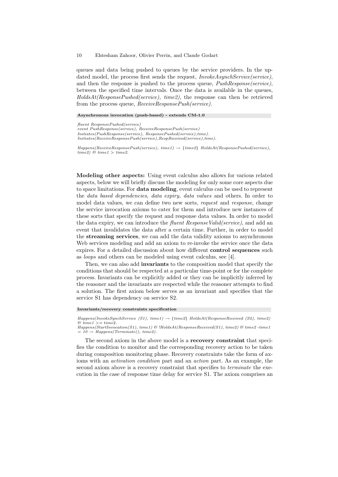queues and data being pushed to queues by the service providers. In the updated model, the process first sends the request, InvokeAsynchService(service), and then the response is pushed to the process queue,  $PushResponse(serve)$ , between the specified time intervals. Once the data is available in the queues,  $HoldsAt(ResponsePushed(serve).$  time2), the response can then be retrieved from the process queue,  $ReceiveResponsePush(s)$ .

Asynchronous invocation (push-based) - extends CM-1.0

*fluent ResponsePushed(service) event PushResponse(service), ReceiveResponsePush(service) Initiates(PushResponse(service), ResponsePushed(service),time). Initiates(ReceiveResponsePush(service),RespReceived(service),time).*

*Happens(ReceiveResponsePush(service), time1)* → {*time2*} *HoldsAt(ResponsePushed(service),*  $time2)$  &  $time1 > time2$ .

Modeling other aspects: Using event calculus also allows for various related aspects, below we will briefly discuss the modeling for only some core aspects due to space limitations. For data modeling, event calculus can be used to represent the data based dependencies, data expiry, data values and others. In order to model data values, we can define two new sorts, request and response, change the service invocation axioms to cater for them and introduce new instances of these sorts that specify the request and response data values. In order to model the data expiry, we can introduce the *fluent ResponseValid(service)*, and add an event that invalidates the data after a certain time. Further, in order to model the streaming services, we can add the data validity axioms to asynchronous Web services modeling and add an axiom to re-invoke the service once the data expires. For a detailed discussion about how different control sequences such as loops and others can be modeled using event calculus, see [4].

Then, we can also add **invariants** to the composition model that specify the conditions that should be respected at a particular time-point or for the complete process. Invariants can be explicitly added or they can be implicitly inferred by the reasoner and the invariants are respected while the reasoner attempts to find a solution. The first axiom below serves as an invariant and specifies that the service S1 has dependency on service S2.

Invariants/recovery constraints specification

The second axiom in the above model is a recovery constraint that specifies the condition to monitor and the corresponding recovery action to be taken during composition monitoring phase. Recovery constraints take the form of axioms with an *activation condition* part and an *action* part. As an example, the second axiom above is a recovery constraint that specifies to *terminate* the execution in the case of response time delay for service S1. The axiom comprises an

*Happens(InvokeSynchService (S1), time1)* → {*time2*} *HoldsAt(ResponseReceived (S2), time2)*  $\&$  time1 >= time2. *Happens(StartInvocation(S1), time1) & !HoldsAt(ResponseReceived(S1), time2) & time2 -time1*

 $= 10 \rightarrow Happens(Terminate(), time2).$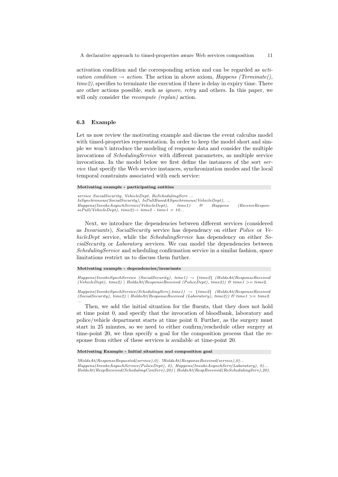activation condition and the corresponding action and can be regarded as activation condition  $\rightarrow$  action. The action in above axiom, Happens (Terminate), time2), specifies to terminate the execution if there is delay in expiry time. There are other actions possible, such as ignore, retry and others. In this paper, we will only consider the *recompute (replan)* action.

# 6.3 Example

Let us now review the motivating example and discuss the event calculus model with timed-properties representation. In order to keep the model short and simple we won't introduce the modeling of response data and consider the multiple invocations of SchedulingService with different parameters, as multiple service invocations. In the model below we first define the instances of the sort service that specify the Web service instances, synchronization modes and the local temporal constraints associated with each service:

#### Motivating example - participating entities

*service SocialSecurity, VehicleDept, ReSchedulingServ ... IsSynchronous(SocialSecurity), IsPullBasedASynchronous(VehicleDept), ... Happens(InvokeAsynchService(VehicleDept), time1) & Happens (ReceiveRespon* $sePull(VehicleDet)$ ,  $time2$ ) $\rightarrow time2$  -  $time1 = 10...$ 

Next, we introduce the dependencies between different services (considered as Invariants), SocialSecurity service has dependency on either Police or VehicleDept service, while the *SchedulingService* has dependency on either SocialSecurity or Laboratory services. We can model the dependencies between SchedulingService and scheduling confirmation service in a similar fashion, space limitations restrict us to discuss them further.

#### Motivating example - dependencies/invariants

*Happens(InvokeSynchService (SocialSecurity), time1)* → {*time2*} *(HoldsAt(ResponseReceived (VehicleDept), time2)* | *HoldsAt(ResponseReceived (PoliceDept), time2)) & time1* >= time2*.*

*Happens(InvokeSynchService(SchedulingServ),time1)* → {*time2*} *(HoldsAt(ResponseReceived (SocialSecurity), time2)* | *HoldsAt(ResponseReceived (Laboratory), time2)) & time1* >= *time2. ...*

Then, we add the initial situation for the fluents, that they does not hold at time point 0, and specify that the invocation of bloodbank, laboratory and police/vehicle department starts at time point 0. Further, as the surgery must start in 25 minutes, so we need to either confirm/reschedule other surgery at time-point 20, we thus specify a goal for the composition process that the response from either of these services is available at time-point 20.

Motivating Example - Initial situation and composition goal

*!HoldsAt(ResponseRequested(service),0). !HoldsAt(ResponseReceived(service),0)... Happens(InvokeAsynchService(PoliceDept), 0), Happens(InvokeAsynchServ(Laboratory), 0)... HoldsAt(RespReceived(SchedulingConServ),20)* | *HoldsAt(RespReceived(ReSchedulingServ),20).*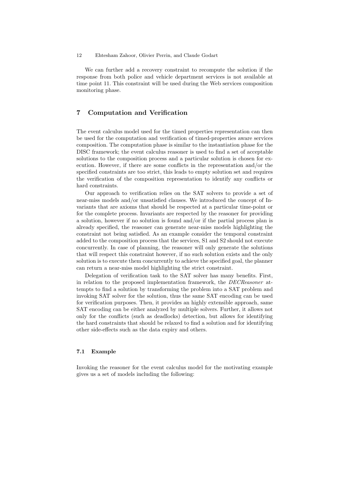We can further add a recovery constraint to recompute the solution if the response from both police and vehicle department services is not available at time point 11. This constraint will be used during the Web services composition monitoring phase.

# 7 Computation and Verification

The event calculus model used for the timed properties representation can then be used for the computation and verification of timed-properties aware services composition. The computation phase is similar to the instantiation phase for the DISC framework; the event calculus reasoner is used to find a set of acceptable solutions to the composition process and a particular solution is chosen for execution. However, if there are some conflicts in the representation and/or the specified constraints are too strict, this leads to empty solution set and requires the verification of the composition representation to identify any conflicts or hard constraints.

Our approach to verification relies on the SAT solvers to provide a set of near-miss models and/or unsatisfied clauses. We introduced the concept of Invariants that are axioms that should be respected at a particular time-point or for the complete process. Invariants are respected by the reasoner for providing a solution, however if no solution is found and/or if the partial process plan is already specified, the reasoner can generate near-miss models highlighting the constraint not being satisfied. As an example consider the temporal constraint added to the composition process that the services, S1 and S2 should not execute concurrently. In case of planning, the reasoner will only generate the solutions that will respect this constraint however, if no such solution exists and the only solution is to execute them concurrently to achieve the specified goal, the planner can return a near-miss model highlighting the strict constraint.

Delegation of verification task to the SAT solver has many benefits. First, in relation to the proposed implementation framework, the DECReasoner attempts to find a solution by transforming the problem into a SAT problem and invoking SAT solver for the solution, thus the same SAT encoding can be used for verification purposes. Then, it provides an highly extensible approach, same SAT encoding can be either analyzed by multiple solvers. Further, it allows not only for the conflicts (such as deadlocks) detection, but allows for identifying the hard constraints that should be relaxed to find a solution and for identifying other side-effects such as the data expiry and others.

## 7.1 Example

Invoking the reasoner for the event calculus model for the motivating example gives us a set of models including the following: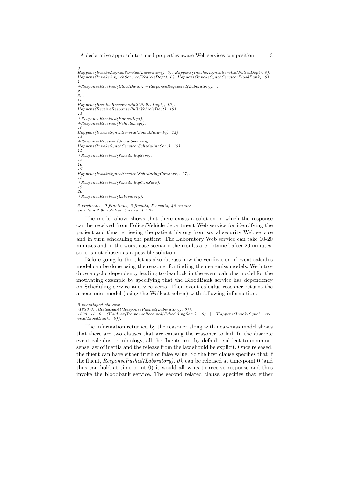*0 Happens(InvokeAsynchService(Laboratory), 0). Happens(InvokeAsynchService(PoliceDept), 0). Happens(InvokeAsynchService(VehicleDept), 0). Happens(InvokeSynchService(BloodBank), 0). 1 +ResponseReceived(BloodBank). +ResponseRequested(Laboratory). ... 2 3... 10 Happens(ReceiveResponsePull(PoliceDept), 10). Happens(ReceiveResponsePull(VehicleDept), 10). 11 +ResponseReceived(PoliceDept). +ResponseReceived(VehicleDept). 12 Happens(InvokeSynchService(SocialSecurity), 12). 13 +ResponseReceived(SocialSecurity). Happens(InvokeSynchService(SchedulingServ), 13). 14 +ResponseReceived(SchedulingServ). 15 16 17 Happens(InvokeSynchService(SchedulingConServ), 17). 18 +ResponseReceived(SchedulingConServ). 19 20 +ResponseReceived(Laboratory).*

#### *3 predicates, 0 functions, 3 fluents, 5 events, 46 axioms encoding 2.9s solution 0.8s total 5.7s*

The model above shows that there exists a solution in which the response can be received from Police/Vehicle department Web service for identifying the patient and thus retrieving the patient history from social security Web service and in turn scheduling the patient. The Laboratory Web service can take 10-20 minutes and in the worst case scenario the results are obtained after 20 minutes, so it is not chosen as a possible solution.

Before going further, let us also discuss how the verification of event calculus model can be done using the reasoner for finding the near-miss models. We introduce a cyclic dependency leading to deadlock in the event calculus model for the motivating example by specifying that the BloodBank service has dependency on Scheduling service and vice-versa. Then event calculus reasoner returns the a near miss model (using the Walksat solver) with following information:

The information returned by the reasoner along with near-miss model shows that there are two clauses that are causing the reasoner to fail. In the discrete event calculus terminology, all the fluents are, by default, subject to commonsense law of inertia and the release from the law should be explicit. Once released, the fluent can have either truth or false value. So the first clause specifies that if the fluent,  $ResponsePushed(Laboratory), 0$ , can be released at time-point 0 (and thus can hold at time-point 0) it would allow us to receive response and thus invoke the bloodbank service. The second related clause, specifies that either

*<sup>2</sup> unsatisfied clauses:*

*<sup>-1830 0: (!</sup>ReleasedAt(ResponsePushed(Laboratory), 0)).*

*<sup>1803 -4 0: (</sup>HoldsAt(ResponseReceived(SchedulingServ), 0)* | *!Happens(InvokeSynch ervice(BloodBank), 0)).*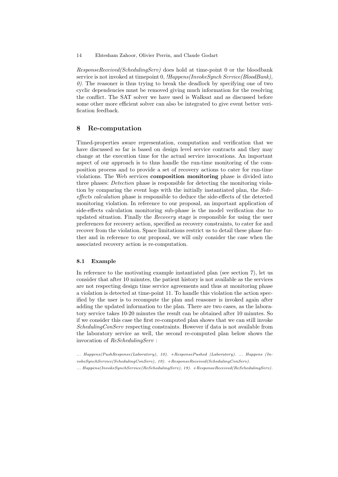ResponseReceived(SchedulingServ) does hold at time-point 0 or the bloodbank service is not invoked at timepoint 0, !Happens(InvokeSynch Service(BloodBank),  $\theta$ ). The reasoner is thus trying to break the deadlock by specifying one of two cyclic dependencies must be removed giving much information for the resolving the conflict. The SAT solver we have used is Walksat and as discussed before some other more efficient solver can also be integrated to give event better verification feedback.

# 8 Re-computation

Timed-properties aware representation, computation and verification that we have discussed so far is based on design level service contracts and they may change at the execution time for the actual service invocations. An important aspect of our approach is to thus handle the run-time monitoring of the composition process and to provide a set of recovery actions to cater for run-time violations. The Web services composition monitoring phase is divided into three phases: *Detection* phase is responsible for detecting the monitoring violation by comparing the event logs with the initially instantiated plan, the Sideeffects calculation phase is responsible to deduce the side-effects of the detected monitoring violation. In reference to our proposal, an important application of side-effects calculation monitoring sub-phase is the model verification due to updated situation. Finally the Recovery stage is responsible for using the user preferences for recovery action, specified as recovery constraints, to cater for and recover from the violation. Space limitations restrict us to detail these phase further and in reference to our proposal, we will only consider the case when the associated recovery action is re-computation.

# 8.1 Example

In reference to the motivating example instantiated plan (see section 7), let us consider that after 10 minutes, the patient history is not available as the services are not respecting design time service agreements and thus at monitoring phase a violation is detected at time-point 11. To handle this violation the action specified by the user is to recompute the plan and reasoner is invoked again after adding the updated information to the plan. There are two cases, as the laboratory service takes 10-20 minutes the result can be obtained after 10 minutes. So if we consider this case the first re-computed plan shows that we can still invoke SchedulingConServ respecting constraints. However if data is not available from the laboratory service as well, the second re-computed plan below shows the invocation of ReSchedulingServ :

*... Happens(PushResponse(Laboratory), 10). +ResponsePushed (Laboratory). ... Happens (InvokeSynchService(SchedulingConServ), 19). +ResponseReceived(SchedulingConServ). ... Happens(InvokeSynchService(ReSchedulingServ), 19). +ResponseReceived(ReSchedulingServ).*